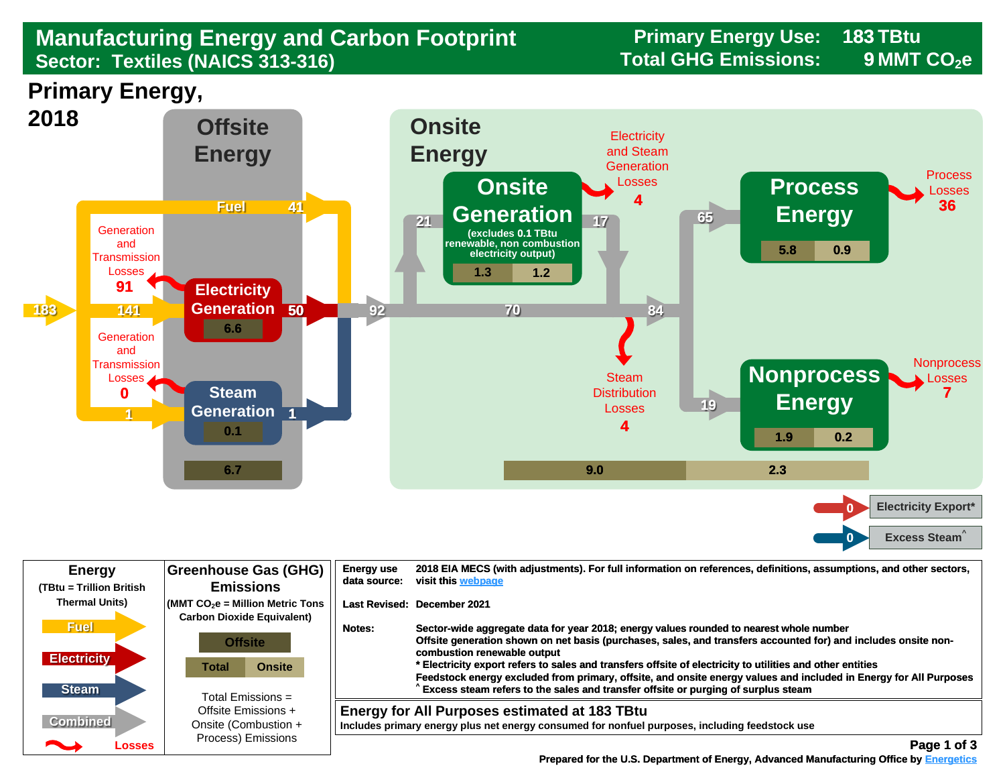## **Sector: Textiles (NAICS 313-316)Manufacturing Energy and Carbon Footprint**

**183 Primary Energy Use: Total GHG Emissions:** 

**9 MMT CO<sub>2</sub>e** 

**Primary Energy,** 



| <b>Energy</b><br>(TBtu = Trillion British         | <b>Greenhouse Gas (GHG)</b><br><b>Emissions</b>                                       | <b>Energy use</b><br>visit this webpage<br>data source: | 2018 EIA MECS (with adjustments). For full information on references, definitions, assumptions, and other sectors,                                                                                                                                                                                                                                                                                                                                                                                                               |
|---------------------------------------------------|---------------------------------------------------------------------------------------|---------------------------------------------------------|----------------------------------------------------------------------------------------------------------------------------------------------------------------------------------------------------------------------------------------------------------------------------------------------------------------------------------------------------------------------------------------------------------------------------------------------------------------------------------------------------------------------------------|
| <b>Thermal Units)</b>                             | $ $ (MMT CO <sub>2</sub> e = Million Metric Tons<br><b>Carbon Dioxide Equivalent)</b> | Last Revised: December 2021                             |                                                                                                                                                                                                                                                                                                                                                                                                                                                                                                                                  |
| <b>Fuel</b><br><b>Electricity</b><br><b>Steam</b> | <b>Offsite</b><br><b>Onsite</b><br>Total<br>Total Emissions $=$                       | Notes:<br>combustion renewable output                   | Sector-wide aggregate data for year 2018; energy values rounded to nearest whole number<br>Offsite generation shown on net basis (purchases, sales, and transfers accounted for) and includes onsite non-<br>* Electricity export refers to sales and transfers offsite of electricity to utilities and other entities<br>Feedstock energy excluded from primary, offsite, and onsite energy values and included in Energy for All Purposes<br>Excess steam refers to the sales and transfer offsite or purging of surplus steam |
| <b>Combined</b>                                   | Offsite Emissions +<br>Onsite (Combustion +<br>Process) Emissions                     |                                                         | <b>Energy for All Purposes estimated at 183 TBtu</b><br>Includes primary energy plus net energy consumed for nonfuel purposes, including feedstock use                                                                                                                                                                                                                                                                                                                                                                           |
| Losses                                            |                                                                                       |                                                         | Page 1 of 3                                                                                                                                                                                                                                                                                                                                                                                                                                                                                                                      |

 **[Prepared for the U.S. Department of Energy, Advanced Manufacturing Office by Energetics](https://www.energetics.com/) Manufacturing Energetics**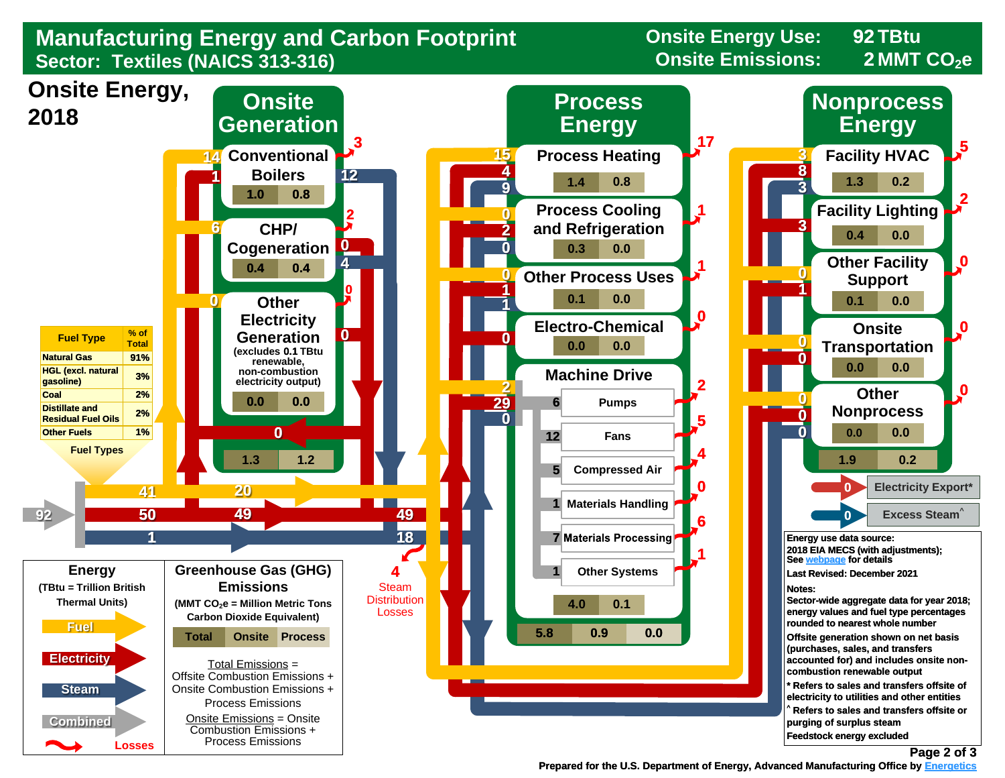